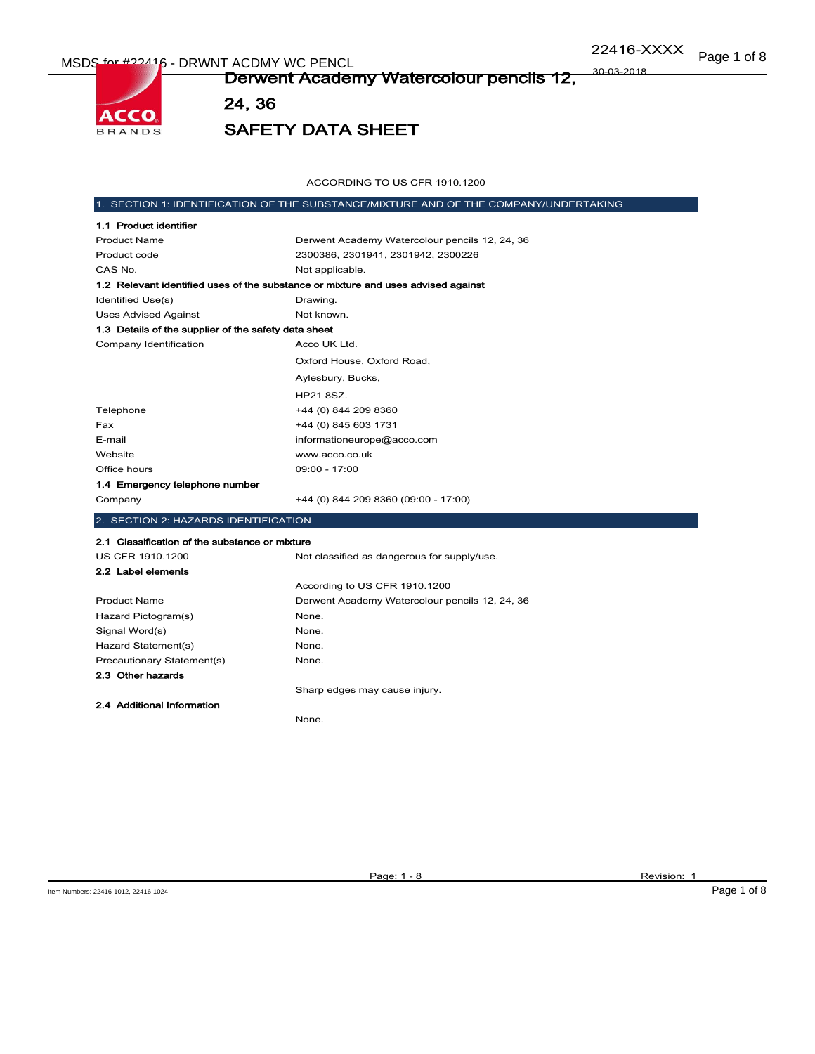ACCO **BRANDS**  Derwent Academy Watercolour pencils 12, 30-03-2018

24, 36

SAFETY DATA SHEET

ACCORDING TO US CFR 1910.1200

|                                                      | 1. SECTION 1: IDENTIFICATION OF THE SUBSTANCE/MIXTURE AND OF THE COMPANY/UNDERTAKING |
|------------------------------------------------------|--------------------------------------------------------------------------------------|
| 1.1 Product identifier                               |                                                                                      |
| <b>Product Name</b>                                  | Derwent Academy Watercolour pencils 12, 24, 36                                       |
| Product code                                         | 2300386, 2301941, 2301942, 2300226                                                   |
| CAS No.                                              | Not applicable.                                                                      |
|                                                      | 1.2 Relevant identified uses of the substance or mixture and uses advised against    |
| Identified Use(s)                                    | Drawing.                                                                             |
| <b>Uses Advised Against</b>                          | Not known.                                                                           |
| 1.3 Details of the supplier of the safety data sheet |                                                                                      |
| Company Identification                               | Acco UK Ltd.                                                                         |
|                                                      | Oxford House, Oxford Road,                                                           |
|                                                      | Aylesbury, Bucks,                                                                    |
|                                                      | HP21 8SZ.                                                                            |
| Telephone                                            | +44 (0) 844 209 8360                                                                 |
| Fax                                                  | +44 (0) 845 603 1731                                                                 |
| E-mail                                               | informationeurope@acco.com                                                           |
| Website                                              | www.acco.co.uk                                                                       |
| Office hours                                         | 09:00 - 17:00                                                                        |
| 1.4 Emergency telephone number                       |                                                                                      |
| Company                                              | +44 (0) 844 209 8360 (09:00 - 17:00)                                                 |
| 2. SECTION 2: HAZARDS IDENTIFICATION                 |                                                                                      |
| 2.1 Classification of the substance or mixture       |                                                                                      |
| US CFR 1910.1200                                     | Not classified as dangerous for supply/use.                                          |
| 2.2 Label elements                                   |                                                                                      |
|                                                      | According to US CFR 1910.1200                                                        |
| <b>Product Name</b>                                  | Derwent Academy Watercolour pencils 12, 24, 36                                       |
| Hazard Pictogram(s)                                  | None.                                                                                |
| Signal Word(s)                                       | None.                                                                                |
| Hazard Statement(s)                                  | None.                                                                                |
| Precautionary Statement(s)                           | None.                                                                                |
| 2.3 Other hazards                                    |                                                                                      |
|                                                      | Sharp edges may cause injury.                                                        |
| 2.4 Additional Information                           |                                                                                      |
|                                                      | None.                                                                                |
|                                                      |                                                                                      |
|                                                      |                                                                                      |

Page: 1 - 8 Revision: 1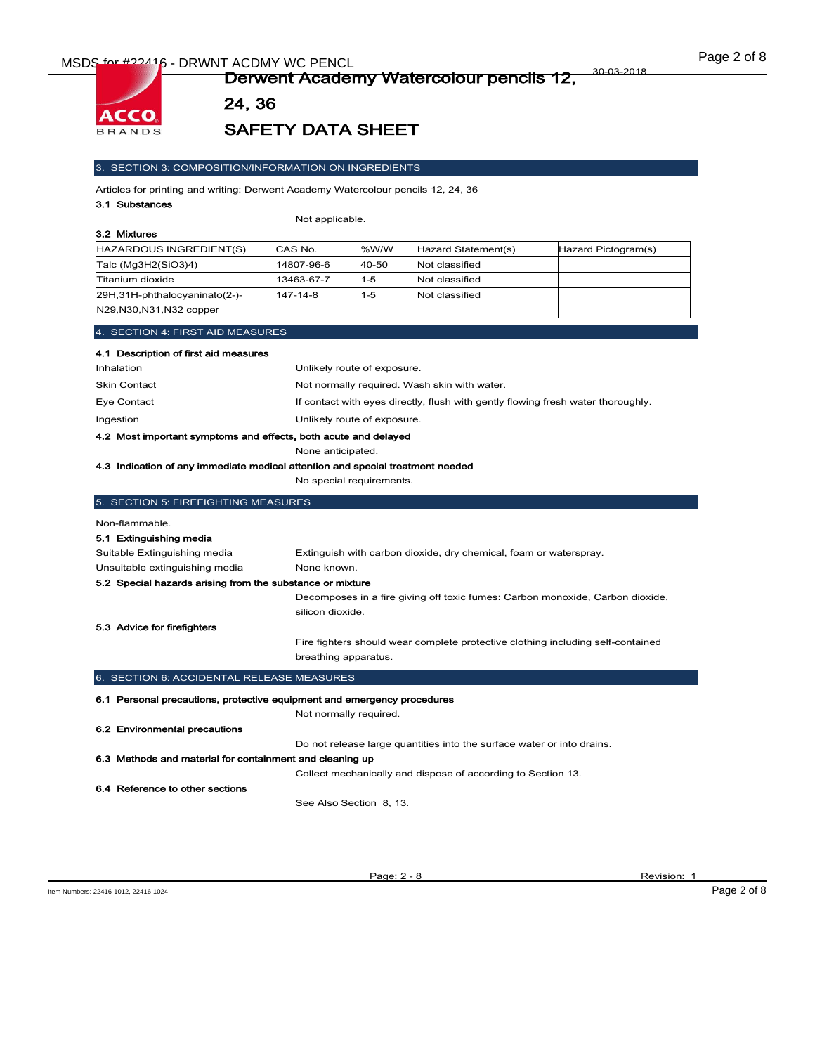

24, 36

# SAFETY DATA SHEET

#### 3. SECTION 3: COMPOSITION/INFORMATION ON INGREDIENTS

Articles for printing and writing: Derwent Academy Watercolour pencils 12, 24, 36

#### 3.1 Substances

Not applicable.

| HAZARDOUS INGREDIENT(S)                                    | CAS No.    | % $W/W$ | Hazard Statement(s) | Hazard Pictogram(s) |
|------------------------------------------------------------|------------|---------|---------------------|---------------------|
| Talc (Mg3H2(SiO3)4)                                        | 14807-96-6 | 40-50   | Not classified      |                     |
| Titanium dioxide                                           | 13463-67-7 | 11-5    | Not classified      |                     |
| 29H,31H-phthalocyaninato(2-)-<br>N29, N30, N31, N32 copper | 147-14-8   | $1 - 5$ | Not classified      |                     |

## 4.1 Description of first aid measures

| Inhalation                                                      | Unlikely route of exposure.                                                      |
|-----------------------------------------------------------------|----------------------------------------------------------------------------------|
| <b>Skin Contact</b>                                             | Not normally required. Wash skin with water.                                     |
| Eye Contact                                                     | If contact with eyes directly, flush with gently flowing fresh water thoroughly. |
| Ingestion                                                       | Unlikely route of exposure.                                                      |
| 4.2 Most important symptoms and effects, both acute and delayed |                                                                                  |
|                                                                 | None anticipated.                                                                |

#### 4.3 Indication of any immediate medical attention and special treatment needed

No special requirements.

| 5. SECTION 5: FIREFIGHTING MEASURES                       |                                                                                                   |
|-----------------------------------------------------------|---------------------------------------------------------------------------------------------------|
| Non-flammable.                                            |                                                                                                   |
| 5.1 Extinguishing media                                   |                                                                                                   |
| Suitable Extinguishing media                              | Extinguish with carbon dioxide, dry chemical, foam or waterspray.                                 |
| Unsuitable extinguishing media                            | None known.                                                                                       |
| 5.2 Special hazards arising from the substance or mixture |                                                                                                   |
|                                                           | Decomposes in a fire giving off toxic fumes: Carbon monoxide, Carbon dioxide,<br>silicon dioxide. |
| 5.3 Advice for firefighters                               |                                                                                                   |
|                                                           | Fire fighters should wear complete protective clothing including self-contained                   |
|                                                           | breathing apparatus.                                                                              |
| 6. SECTION 6: ACCIDENTAL RELEASE MEASURES                 |                                                                                                   |
|                                                           | 6.1 Personal precautions, protective equipment and emergency procedures                           |
|                                                           | Not normally required.                                                                            |
| 6.2 Environmental precautions                             |                                                                                                   |
|                                                           | Do not release large quantities into the surface water or into drains.                            |
| 6.3 Methods and material for containment and cleaning up  |                                                                                                   |
|                                                           | Collect mechanically and dispose of according to Section 13.                                      |

#### 6.4 Reference to other sections

See Also Section 8, 13.

Page: 2 - 8 Revision: 1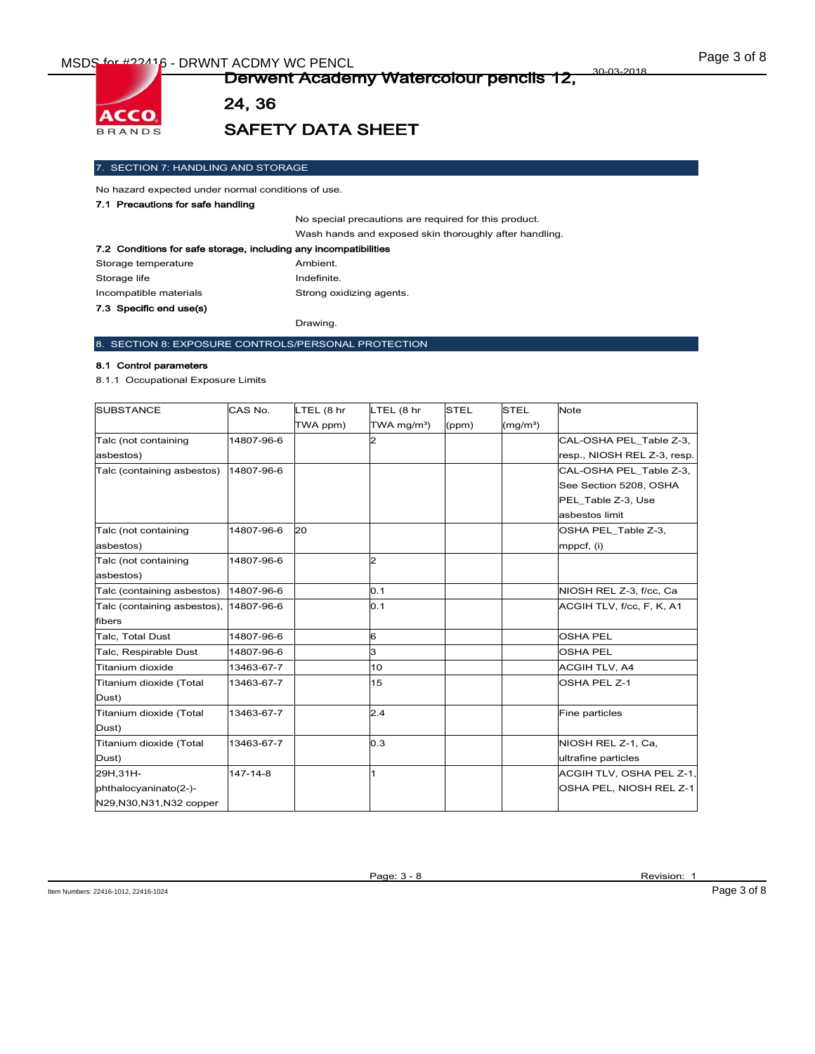

24, 36

# SAFETY DATA SHEET

### 7. SECTION 7: HANDLING AND STORAGE

No hazard expected under normal conditions of use.

### 7.1 Precautions for safe handling

No special precautions are required for this product. Wash hands and exposed skin thoroughly after handling.

| 7.2 Conditions for safe storage, including any incompatibilities |             |  |
|------------------------------------------------------------------|-------------|--|
| Storage temperature                                              | Ambient.    |  |
| Storage life                                                     | Indefinite. |  |
| Strong oxidizing agents.<br>Incompatible materials               |             |  |
| 7.3 Specific end use(s)                                          |             |  |

Drawing.

### 8. SECTION 8: EXPOSURE CONTROLS/PERSONAL PROTECTION

#### 8.1 Control parameters

8.1.1 Occupational Exposure Limits

| <b>SUBSTANCE</b>            | CAS No.    | LTEL (8 hr | LTEL (8 hr                | <b>STEL</b> | <b>STEL</b>          | <b>Note</b>                 |
|-----------------------------|------------|------------|---------------------------|-------------|----------------------|-----------------------------|
|                             |            | TWA ppm)   | $TWA$ mg/m <sup>3</sup> ) | (ppm)       | (mg/m <sup>3</sup> ) |                             |
| Talc (not containing        | 14807-96-6 |            | 2                         |             |                      | CAL-OSHA PEL Table Z-3,     |
| asbestos)                   |            |            |                           |             |                      | resp., NIOSH REL Z-3, resp. |
| Talc (containing asbestos)  | 14807-96-6 |            |                           |             |                      | CAL-OSHA PEL Table Z-3,     |
|                             |            |            |                           |             |                      | See Section 5208, OSHA      |
|                             |            |            |                           |             |                      | PEL Table Z-3, Use          |
|                             |            |            |                           |             |                      | asbestos limit              |
| Talc (not containing        | 14807-96-6 | 20         |                           |             |                      | OSHA PEL_Table Z-3,         |
| asbestos)                   |            |            |                           |             |                      | mppcf, (i)                  |
| Talc (not containing        | 14807-96-6 |            | $\overline{2}$            |             |                      |                             |
| asbestos)                   |            |            |                           |             |                      |                             |
| Talc (containing asbestos)  | 14807-96-6 |            | 0.1                       |             |                      | NIOSH REL Z-3, f/cc, Ca     |
| Talc (containing asbestos), | 14807-96-6 |            | 0.1                       |             |                      | ACGIH TLV, f/cc, F, K, A1   |
| fibers                      |            |            |                           |             |                      |                             |
| Talc, Total Dust            | 14807-96-6 |            | 6                         |             |                      | <b>OSHA PEL</b>             |
| Talc, Respirable Dust       | 14807-96-6 |            | 3                         |             |                      | <b>OSHA PEL</b>             |
| Titanium dioxide            | 13463-67-7 |            | 10                        |             |                      | <b>ACGIH TLV, A4</b>        |
| Titanium dioxide (Total     | 13463-67-7 |            | 15                        |             |                      | OSHA PEL Z-1                |
| Dust)                       |            |            |                           |             |                      |                             |
| Titanium dioxide (Total     | 13463-67-7 |            | 2.4                       |             |                      | Fine particles              |
| Dust)                       |            |            |                           |             |                      |                             |
| Titanium dioxide (Total     | 13463-67-7 |            | 0.3                       |             |                      | NIOSH REL Z-1, Ca,          |
| Dust)                       |            |            |                           |             |                      | ultrafine particles         |
| 29H.31H-                    | 147-14-8   |            | 1                         |             |                      | ACGIH TLV, OSHA PEL Z-1,    |
| phthalocyaninato(2-)-       |            |            |                           |             |                      | OSHA PEL, NIOSH REL Z-1     |
| N29, N30, N31, N32 copper   |            |            |                           |             |                      |                             |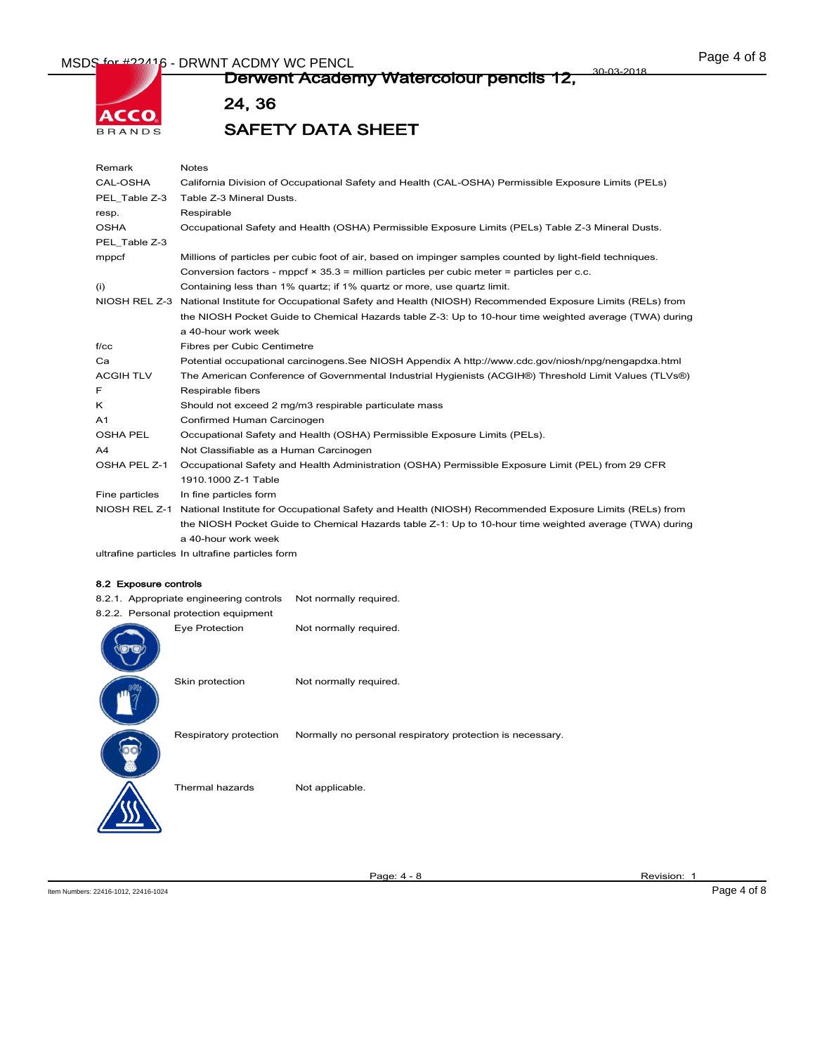# MSDS for #22416 - DRWNT ACDMY WC PENCL **Example 2008** 2018



#### Derwent Academy Watercolour pencils 12, 30-03-2018

24, 36

SAFETY DATA SHEET

| Remark           | <b>Notes</b>                                                                                              |
|------------------|-----------------------------------------------------------------------------------------------------------|
| CAL-OSHA         | California Division of Occupational Safety and Health (CAL-OSHA) Permissible Exposure Limits (PELs)       |
| PEL Table Z-3    | Table Z-3 Mineral Dusts.                                                                                  |
| resp.            | Respirable                                                                                                |
| <b>OSHA</b>      | Occupational Safety and Health (OSHA) Permissible Exposure Limits (PELs) Table Z-3 Mineral Dusts.         |
| PEL Table Z-3    |                                                                                                           |
| mppcf            | Millions of particles per cubic foot of air, based on impinger samples counted by light-field techniques. |
|                  | Conversion factors - mppcf $\times$ 35.3 = million particles per cubic meter = particles per c.c.         |
| (i)              | Containing less than 1% quartz; if 1% quartz or more, use quartz limit.                                   |
| NIOSH REL Z-3    | National Institute for Occupational Safety and Health (NIOSH) Recommended Exposure Limits (RELs) from     |
|                  | the NIOSH Pocket Guide to Chemical Hazards table Z-3: Up to 10-hour time weighted average (TWA) during    |
|                  | a 40-hour work week                                                                                       |
| f / c c          | Fibres per Cubic Centimetre                                                                               |
| Ca               | Potential occupational carcinogens. See NIOSH Appendix A http://www.cdc.gov/niosh/npg/nengapdxa.html      |
| <b>ACGIH TLV</b> | The American Conference of Governmental Industrial Hygienists (ACGIH®) Threshold Limit Values (TLVs®)     |
| F                | Respirable fibers                                                                                         |
| κ                | Should not exceed 2 mg/m3 respirable particulate mass                                                     |
| A <sub>1</sub>   | Confirmed Human Carcinogen                                                                                |
| <b>OSHA PEL</b>  | Occupational Safety and Health (OSHA) Permissible Exposure Limits (PELs).                                 |
| A4               | Not Classifiable as a Human Carcinogen                                                                    |
| OSHA PEL Z-1     | Occupational Safety and Health Administration (OSHA) Permissible Exposure Limit (PEL) from 29 CFR         |
|                  | 1910.1000 Z-1 Table                                                                                       |
| Fine particles   | In fine particles form                                                                                    |
| NIOSH REL Z-1    | National Institute for Occupational Safety and Health (NIOSH) Recommended Exposure Limits (RELs) from     |
|                  | the NIOSH Pocket Guide to Chemical Hazards table Z-1: Up to 10-hour time weighted average (TWA) during    |
|                  | a 40-hour work week                                                                                       |

ultrafine particles In ultrafine particles form

#### 8.2 Exposure controls

8.2.1. Appropriate engineering controls Not normally required.

| 8.2.2. Personal protection equipment |                        |
|--------------------------------------|------------------------|
| Eye Protection                       | Not normally required. |

| Not normally required. |
|------------------------|
|                        |

| Skin protection        | Not normally required.                                    |
|------------------------|-----------------------------------------------------------|
| Respiratory protection | Normally no personal respiratory protection is necessary. |
| Thermal hazards        | Not applicable.                                           |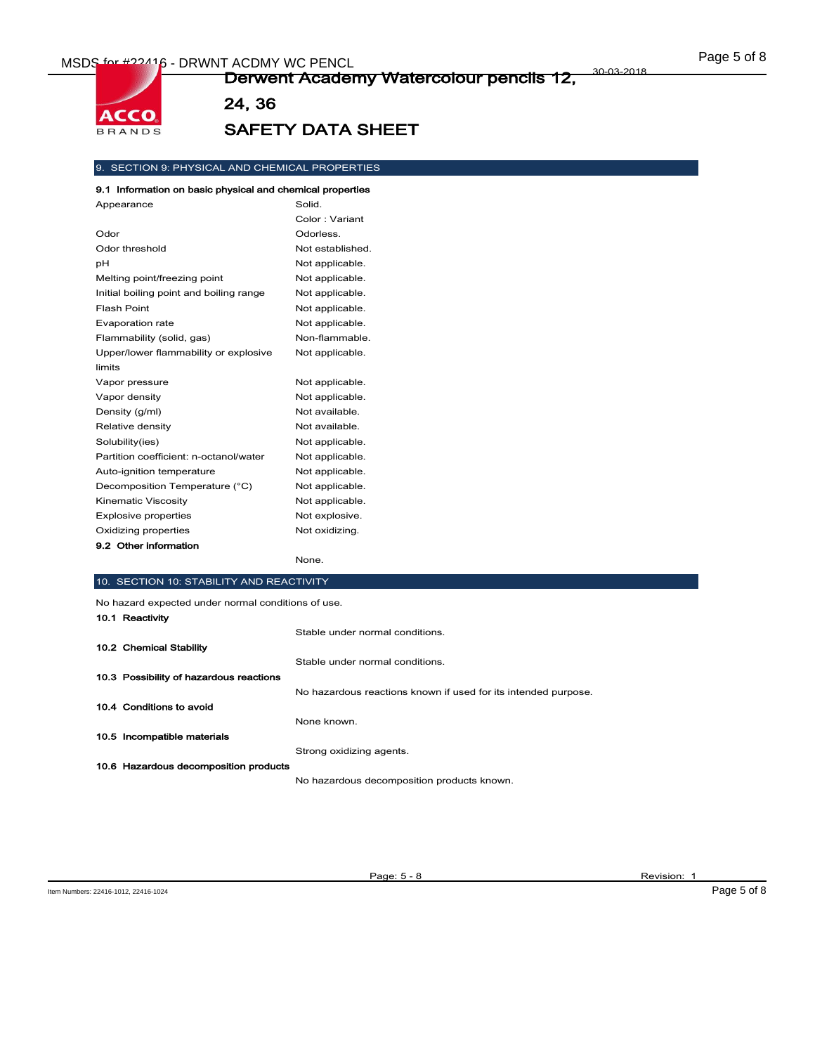**ACCO BRANDS** 

#### Derwent Academy Watercolour pencils 12, 30-03-2018

24, 36

# SAFETY DATA SHEET

### 9. SECTION 9: PHYSICAL AND CHEMICAL PROPERTIES

#### 9.1 Information on basic physical and chemical properties

| Appearance                              | Solid.           |
|-----------------------------------------|------------------|
|                                         | Color: Variant   |
| Odor                                    | Odorless.        |
| Odor threshold                          | Not established. |
| pH                                      | Not applicable.  |
| Melting point/freezing point            | Not applicable.  |
| Initial boiling point and boiling range | Not applicable.  |
| Flash Point                             | Not applicable.  |
| Evaporation rate                        | Not applicable.  |
| Flammability (solid, gas)               | Non-flammable.   |
| Upper/lower flammability or explosive   | Not applicable.  |
| limits                                  |                  |
| Vapor pressure                          | Not applicable.  |
| Vapor density                           | Not applicable.  |
| Density (g/ml)                          | Not available.   |
| Relative density                        | Not available.   |
| Solubility(ies)                         | Not applicable.  |
| Partition coefficient: n-octanol/water  | Not applicable.  |
| Auto-ignition temperature               | Not applicable.  |
| Decomposition Temperature (°C)          | Not applicable.  |
| Kinematic Viscosity                     | Not applicable.  |
| <b>Explosive properties</b>             | Not explosive.   |
| Oxidizing properties                    | Not oxidizing.   |
| 9.2 Other information                   |                  |
|                                         | None.            |

### 10. SECTION 10: STABILITY AND REACTIVITY

| No hazard expected under normal conditions of use. |                                                                |  |
|----------------------------------------------------|----------------------------------------------------------------|--|
| 10.1 Reactivity                                    |                                                                |  |
|                                                    | Stable under normal conditions.                                |  |
| 10.2 Chemical Stability                            |                                                                |  |
|                                                    | Stable under normal conditions.                                |  |
| 10.3 Possibility of hazardous reactions            |                                                                |  |
|                                                    | No hazardous reactions known if used for its intended purpose. |  |
| 10.4 Conditions to avoid                           |                                                                |  |
|                                                    | None known.                                                    |  |
| 10.5 Incompatible materials                        |                                                                |  |
|                                                    | Strong oxidizing agents.                                       |  |
| 10.6 Hazardous decomposition products              |                                                                |  |
|                                                    | No hazardous decomposition products known.                     |  |

Page: 5 - 8 Revision: 1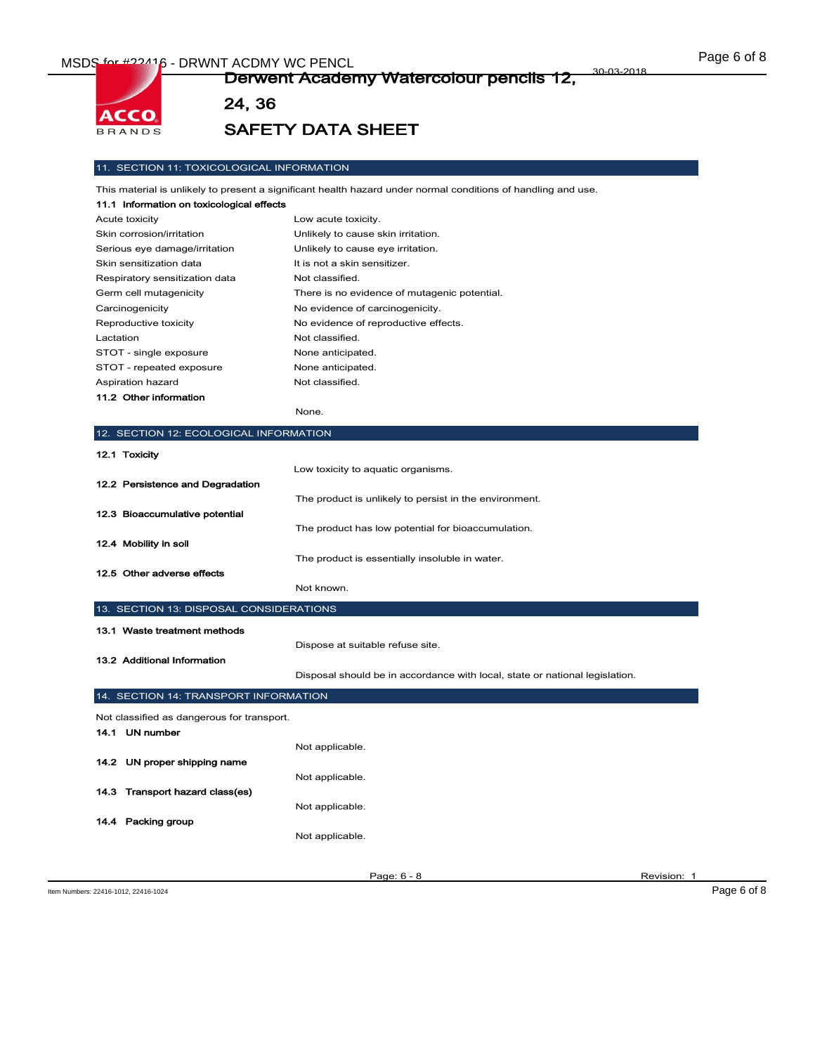ACCO **BRANDS** 

#### Derwent Academy Watercolour pencils 12, 30-03-2018

24, 36

# SAFETY DATA SHEET

#### 11. SECTION 11: TOXICOLOGICAL INFORMATION

This material is unlikely to present a significant health hazard under normal conditions of handling and use.

| 11.1 Information on toxicological effects |                                              |
|-------------------------------------------|----------------------------------------------|
| Acute toxicity                            | Low acute toxicity.                          |
| Skin corrosion/irritation                 | Unlikely to cause skin irritation.           |
| Serious eye damage/irritation             | Unlikely to cause eye irritation.            |
| Skin sensitization data                   | It is not a skin sensitizer.                 |
| Respiratory sensitization data            | Not classified.                              |
| Germ cell mutagenicity                    | There is no evidence of mutagenic potential. |
| Carcinogenicity                           | No evidence of carcinogenicity.              |
| Reproductive toxicity                     | No evidence of reproductive effects.         |
| Lactation                                 | Not classified.                              |
| STOT - single exposure                    | None anticipated.                            |
| STOT - repeated exposure                  | None anticipated.                            |
| Aspiration hazard                         | Not classified.                              |
| 11.2 Other information                    |                                              |

None.

### 12. SECTION 12: ECOLOGICAL INFORMATION

| 12.1 Toxicity                    |                                                        |
|----------------------------------|--------------------------------------------------------|
|                                  | Low toxicity to aquatic organisms.                     |
| 12.2 Persistence and Degradation |                                                        |
|                                  | The product is unlikely to persist in the environment. |
| 12.3 Bioaccumulative potential   |                                                        |
|                                  | The product has low potential for bioaccumulation.     |
| 12.4 Mobility in soil            |                                                        |
|                                  | The product is essentially insoluble in water.         |
| 12.5 Other adverse effects       |                                                        |
|                                  | Not known.                                             |

Dispose at suitable refuse site.

### 13. SECTION 13: DISPOSAL CONSIDERATIONS

|  | 13.2 Additional Information |
|--|-----------------------------|

Disposal should be in accordance with local, state or national legislation.

| 14. SECTION 14: TRANSPORT INFORMATION      |                 |  |
|--------------------------------------------|-----------------|--|
| Not classified as dangerous for transport. |                 |  |
| 14.1 UN number                             |                 |  |
|                                            | Not applicable. |  |
| 14.2 UN proper shipping name               |                 |  |
|                                            | Not applicable. |  |
| 14.3 Transport hazard class(es)            |                 |  |
|                                            | Not applicable. |  |
| 14.4 Packing group                         |                 |  |
|                                            | Not applicable. |  |
|                                            |                 |  |
|                                            |                 |  |

Page: 6 - 8 Revision: 1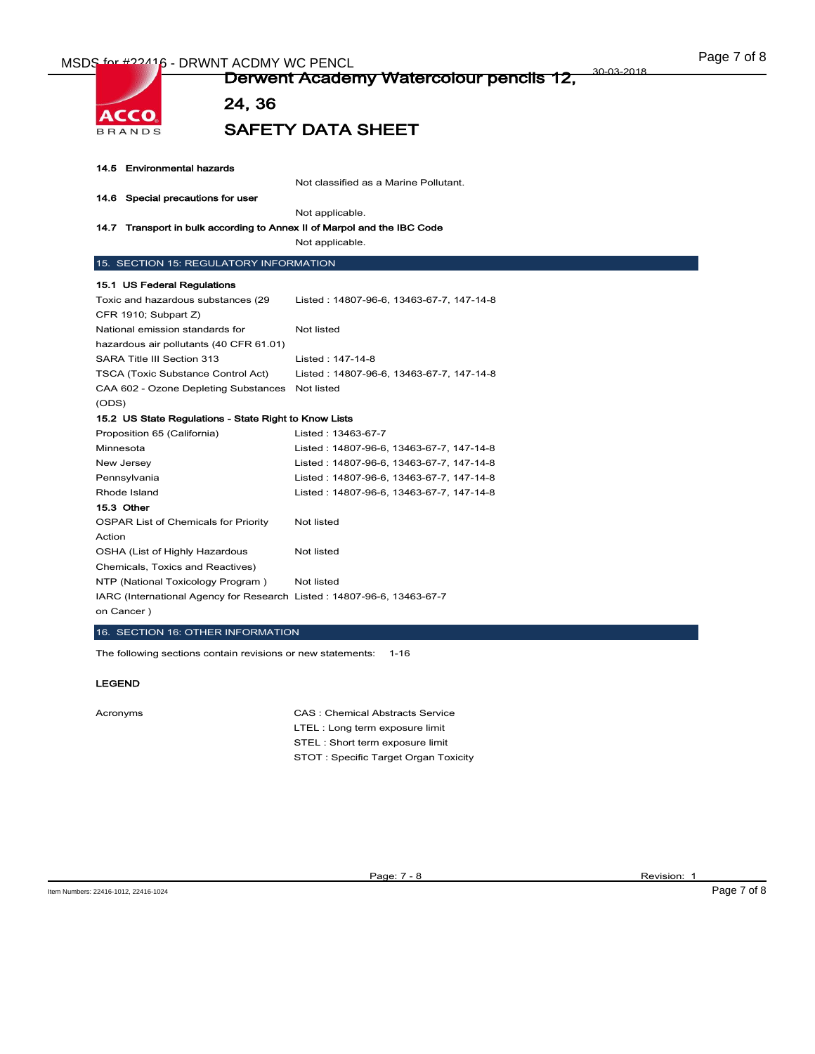

24, 36

# SAFETY DATA SHEET

| 14.5 Environmental hazards |  |
|----------------------------|--|
|----------------------------|--|

ACCO **BRANDS** 

Not classified as a Marine Pollutant.

# 14.6 Special precautions for user

Not applicable.

#### 14.7 Transport in bulk according to Annex II of Marpol and the IBC Code

Not applicable.

#### 15. SECTION 15: REGULATORY INFORMATION

#### 15.1 US Federal Regulations

| Toxic and hazardous substances (29                                     | Listed: 14807-96-6, 13463-67-7, 147-14-8 |  |
|------------------------------------------------------------------------|------------------------------------------|--|
| CFR 1910; Subpart Z)                                                   |                                          |  |
| National emission standards for                                        | Not listed                               |  |
| hazardous air pollutants (40 CFR 61.01)                                |                                          |  |
| SARA Title III Section 313                                             | Listed: 147-14-8                         |  |
| <b>TSCA (Toxic Substance Control Act)</b>                              | Listed: 14807-96-6, 13463-67-7, 147-14-8 |  |
| CAA 602 - Ozone Depleting Substances                                   | Not listed                               |  |
| (ODS)                                                                  |                                          |  |
| 15.2 US State Regulations - State Right to Know Lists                  |                                          |  |
| Proposition 65 (California)                                            | Listed: 13463-67-7                       |  |
| Minnesota                                                              | Listed: 14807-96-6, 13463-67-7, 147-14-8 |  |
| New Jersey                                                             | Listed: 14807-96-6, 13463-67-7, 147-14-8 |  |
| Pennsylvania                                                           | Listed: 14807-96-6, 13463-67-7, 147-14-8 |  |
| Rhode Island                                                           | Listed: 14807-96-6, 13463-67-7, 147-14-8 |  |
| 15.3 Other                                                             |                                          |  |
| <b>OSPAR List of Chemicals for Priority</b>                            | Not listed                               |  |
| Action                                                                 |                                          |  |
| OSHA (List of Highly Hazardous                                         | Not listed                               |  |
| Chemicals, Toxics and Reactives)                                       |                                          |  |
| NTP (National Toxicology Program)                                      | Not listed                               |  |
| IARC (International Agency for Research Listed: 14807-96-6, 13463-67-7 |                                          |  |
| on Cancer)                                                             |                                          |  |

### 16. SECTION 16: OTHER INFORMATION

The following sections contain revisions or new statements: 1-16

#### LEGEND

Acronyms CAS : Chemical Abstracts Service LTEL : Long term exposure limit STEL : Short term exposure limit STOT : Specific Target Organ Toxicity

Page: 7 - 8 Revision: 1